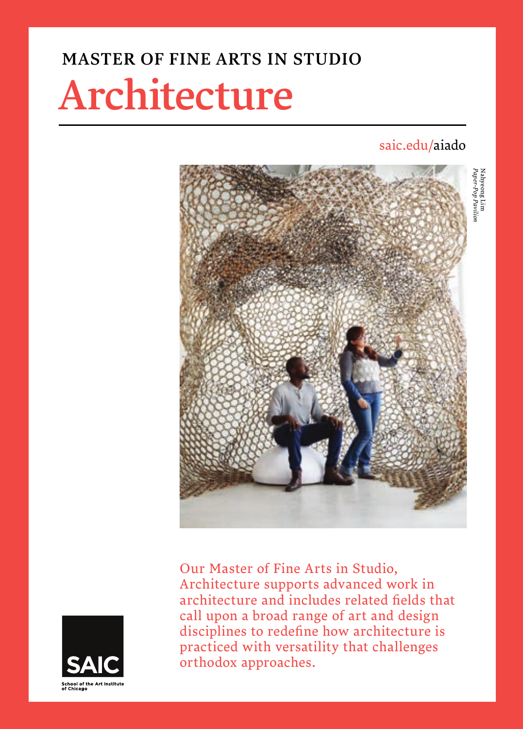## MASTER OF FINE ARTS IN STUDIO

# Architecture

## saic.edu/aiado

Nahyeong Lim



Our Master of Fine Arts in Studio, Architecture supports advanced work in architecture and includes related fields that call upon a broad range of art and design disciplines to redefine how architecture is practiced with versatility that challenges orthodox approaches.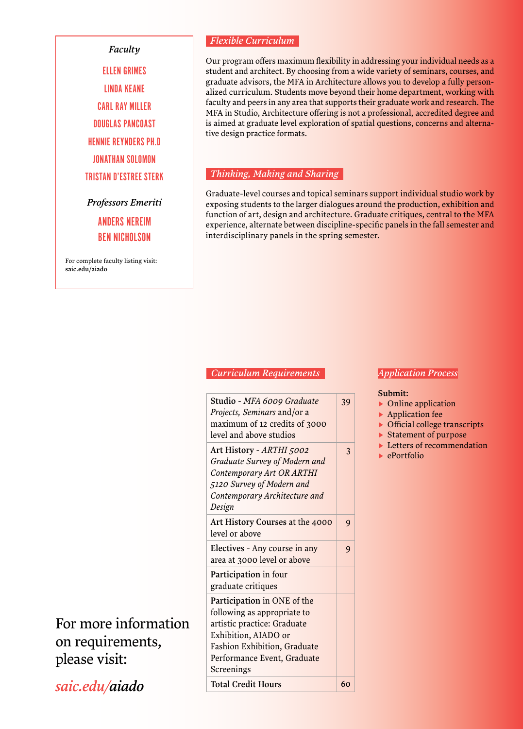#### *Faculty*

ELLEN GRIMES LINDA KEANE CARL RAY MILLER DOUGLAS PANCOAST HENNIE REYNDERS PH.D JONATHAN SOLOMON TRISTAN D'ESTREE STERK

*Professors Emeriti*

ANDERS NEREIM BEN NICHOLSON

For complete faculty listing visit: saic.edu/aiado

#### *Flexible Curriculum*

Our program offers maximum flexibility in addressing your individual needs as a student and architect. By choosing from a wide variety of seminars, courses, and graduate advisors, the MFA in Architecture allows you to develop a fully personalized curriculum. Students move beyond their home department, working with faculty and peers in any area that supports their graduate work and research. The MFA in Studio, Architecture offering is not a professional, accredited degree and is aimed at graduate level exploration of spatial questions, concerns and alternative design practice formats.

#### *Thinking, Making and Sharing*

Graduate-level courses and topical seminars support individual studio work by exposing students to the larger dialogues around the production, exhibition and function of art, design and architecture. Graduate critiques, central to the MFA experience, alternate between discipline-specific panels in the fall semester and interdisciplinary panels in the spring semester.

#### *Curriculum Requirements*

| Studio - MFA 6009 Graduate<br>Projects, Seminars and/or a<br>maximum of 12 credits of 3000<br>level and above studios                                                                          | 39                    |
|------------------------------------------------------------------------------------------------------------------------------------------------------------------------------------------------|-----------------------|
| Art History - ARTHI 5002<br>Graduate Survey of Modern and<br>Contemporary Art OR ARTHI<br>5120 Survey of Modern and<br>Contemporary Architecture and<br>Design                                 | $\mathbf{\mathsf{R}}$ |
| Art History Courses at the 4000<br>level or above                                                                                                                                              | 9                     |
| Electives - Any course in any<br>area at 3000 level or above                                                                                                                                   | 9                     |
| Participation in four<br>graduate critiques                                                                                                                                                    |                       |
| Participation in ONE of the<br>following as appropriate to<br>artistic practice: Graduate<br>Exhibition, AIADO or<br>Fashion Exhibition, Graduate<br>Performance Event, Graduate<br>Screenings |                       |
| <b>Total Credit Hours</b>                                                                                                                                                                      | 60                    |

#### *Application Process*

#### Submit:

- ▶ Online application
- ▶ Application fee
- ▶ Official college transcripts
- ▶ Statement of purpose
- ▶ Letters of recommendation
- ▶ ePortfolio

For more information on requirements, please visit:

*saic.edu/aiado*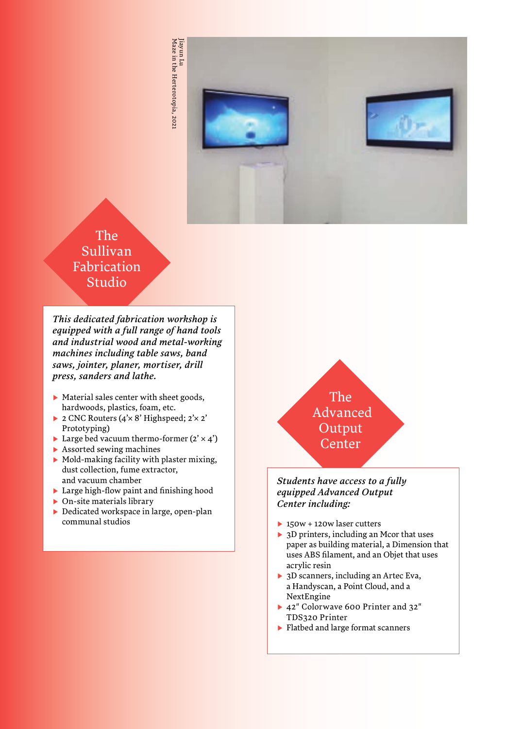

### The Sullivan Fabrication Studio

*This dedicated fabrication workshop is equipped with a full range of hand tools and industrial wood and metal-working machines including table saws, band saws, jointer, planer, mortiser, drill press, sanders and lathe.*

- ▶ Material sales center with sheet goods, hardwoods, plastics, foam, etc.
- ▶ 2 CNC Routers (4'× 8' Highspeed; 2'× 2' Prototyping)
- $\blacktriangleright$  Large bed vacuum thermo-former (2'  $\times$  4')
- ▶ Assorted sewing machines
- ▶ Mold-making facility with plaster mixing, dust collection, fume extractor, and vacuum chamber
- ▶ Large high-flow paint and finishing hood
- ▶ On-site materials library
- ▶ Dedicated workspace in large, open-plan communal studios



#### *Students have access to a fully equipped Advanced Output Center including:*

- ▶ 150w + 120w laser cutters
- ▶ 3D printers, including an Mcor that uses paper as building material, a Dimension that uses ABS filament, and an Objet that uses acrylic resin
- ▶ 3D scanners, including an Artec Eva, a Handyscan, a Point Cloud, and a NextEngine
- ▶ 42" Colorwave 600 Printer and 32" TDS320 Printer
- ▶ Flatbed and large format scanners